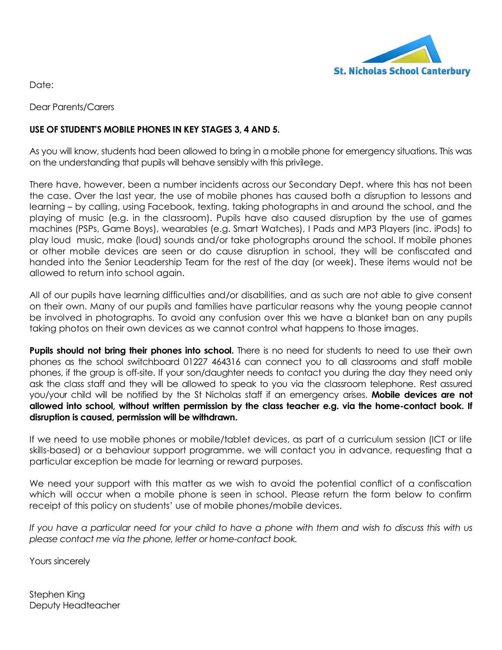

Date:

Dear Parents/Carers

## **USE OF STUDENT'S MOBILE PHONES IN KEY STAGES 3, 4 AND 5.**

As you will know, students had been allowed to bring in a mobile phone for emergency situations. This was on the understanding that pupils will behave sensibly with this privilege.

There have, however, been a number incidents across our Secondary Dept. where this has not been the case. Over the last year, the use of mobile phones has caused both a disruption to lessons and learning – by calling, using Facebook, texting, taking photographs in and around the school, and the playing of music (e.g. in the classroom). Pupils have also caused disruption by the use of games machines (PSPs, Game Boys), wearables (e.g. Smart Watches), I Pads and MP3 Players (inc. iPods) to play loud music, make (loud) sounds and/or take photographs around the school. If mobile phones or other mobile devices are seen or do cause disruption in school, they will be confiscated and handed into the Senior Leadership Team for the rest of the day (or week). These items would not be allowed to return into school again.

All of our pupils have learning difficulties and/or disabilities, and as such are not able to give consent on their own. Many of our pupils and families have particular reasons why the young people cannot be involved in photographs. To avoid any confusion over this we have a blanket ban on any pupils taking photos on their own devices as we cannot control what happens to those images.

**Pupils should not bring their phones into school.** There is no need for students to need to use their own phones as the school switchboard 01227 464316 can connect you to all classrooms and staff mobile phones, if the group is off-site. If your son/daughter needs to contact you during the day they need only ask the class staff and they will be allowed to speak to you via the classroom telephone. Rest assured you/your child will be notified by the St Nicholas staff if an emergency arises. **Mobile devices are not allowed into school, without written permission by the class teacher e.g. via the home-contact book. If disruption is caused, permission will be withdrawn.**

If we need to use mobile phones or mobile/tablet devices, as part of a curriculum session (ICT or life skills-based) or a behaviour support programme. we will contact you in advance, requesting that a particular exception be made for learning or reward purposes.

We need your support with this matter as we wish to avoid the potential conflict of a confiscation which will occur when a mobile phone is seen in school. Please return the form below to confirm receipt of this policy on students' use of mobile phones/mobile devices.

*If you have a particular need for your child to have a phone with them and wish to discuss this with us please contact me via the phone, letter or home-contact book.*

Yours sincerely

Stephen King Deputy Headteacher